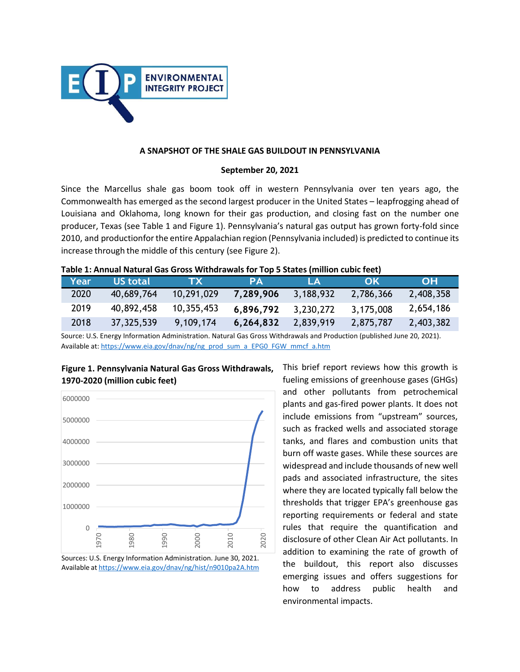

#### **A SNAPSHOT OF THE SHALE GAS BUILDOUT IN PENNSYLVANIA**

#### **September 20, 2021**

Since the Marcellus shale gas boom took off in western Pennsylvania over ten years ago, the Commonwealth has emerged as the second largest producer in the United States – leapfrogging ahead of Louisiana and Oklahoma, long known for their gas production, and closing fast on the number one producer, Texas (see Table 1 and Figure 1). Pennsylvania's natural gas output has grown forty-fold since 2010, and productionforthe entire Appalachian region (Pennsylvania included) is predicted to continue its increase through the middle of this century (see Figure 2).

|  | Table 1: Annual Natural Gas Gross Withdrawals for Top 5 States (million cubic feet) |  |  |
|--|-------------------------------------------------------------------------------------|--|--|
|--|-------------------------------------------------------------------------------------|--|--|

| Year | US total   | ZTXZ       | PА        | LА        | OK        | <b>OH</b> |
|------|------------|------------|-----------|-----------|-----------|-----------|
| 2020 | 40,689,764 | 10,291,029 | 7,289,906 | 3,188,932 | 2,786,366 | 2,408,358 |
| 2019 | 40,892,458 | 10,355,453 | 6,896,792 | 3,230,272 | 3,175,008 | 2,654,186 |
| 2018 | 37,325,539 | 9,109,174  | 6,264,832 | 2,839,919 | 2,875,787 | 2,403,382 |

Source: U.S. Energy Information Administration. Natural Gas Gross Withdrawals and Production (published June 20, 2021). Available at: [https://www.eia.gov/dnav/ng/ng\\_prod\\_sum\\_a\\_EPG0\\_FGW\\_mmcf\\_a.htm](https://www.eia.gov/dnav/ng/ng_prod_sum_a_EPG0_FGW_mmcf_a.htm)



**Figure 1. Pennsylvania Natural Gas Gross Withdrawals, 1970-2020 (million cubic feet)**

Sources: U.S. Energy Information Administration. June 30, 2021. Available at <https://www.eia.gov/dnav/ng/hist/n9010pa2A.htm> This brief report reviews how this growth is fueling emissions of greenhouse gases (GHGs) and other pollutants from petrochemical plants and gas-fired power plants. It does not include emissions from "upstream" sources, such as fracked wells and associated storage tanks, and flares and combustion units that burn off waste gases. While these sources are widespread and include thousands of new well pads and associated infrastructure, the sites where they are located typically fall below the thresholds that trigger EPA's greenhouse gas reporting requirements or federal and state rules that require the quantification and disclosure of other Clean Air Act pollutants. In addition to examining the rate of growth of the buildout, this report also discusses emerging issues and offers suggestions for how to address public health and environmental impacts.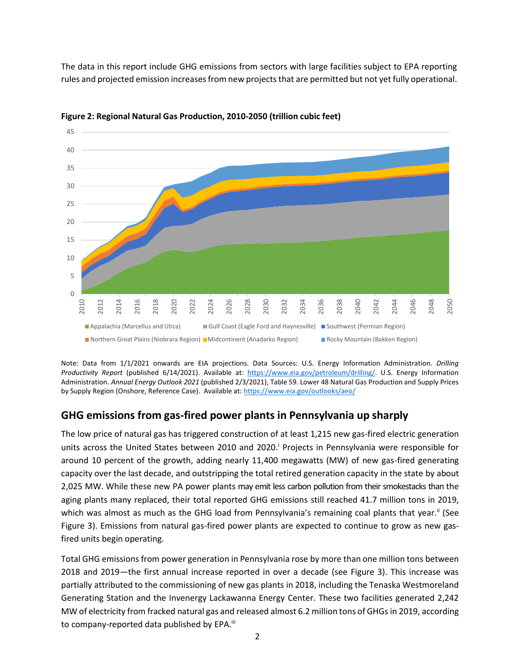The data in this report include GHG emissions from sectors with large facilities subject to EPA reporting rules and projected emission increasesfrom new projectsthat are permitted but not yet fully operational.



**Figure 2: Regional Natural Gas Production, 2010-2050 (trillion cubic feet)**

Note: Data from 1/1/2021 onwards are EIA projections. Data Sources: U.S. Energy Information Administration. *Drilling Productivity Report* (published 6/14/2021). Available at: [https://www.eia.gov/petroleum/drilling/.](https://www.eia.gov/petroleum/drilling/) U.S. Energy Information Administration. *Annual Energy Outlook 2021* (published 2/3/2021), Table 59. Lower 48 Natural Gas Production and Supply Prices by Supply Region (Onshore, Reference Case). Available at: <https://www.eia.gov/outlooks/aeo/>

# **GHG emissions from gas-fired power plants in Pennsylvania up sharply**

The low price of natural gas has triggered construction of at least 1,215 new gas-fired electric generation units across the United States between 2010 and 2020[.](#page-14-0)<sup>i</sup> Projects in Pennsylvania were responsible for around 10 percent of the growth, adding nearly 11,400 megawatts (MW) of new gas-fired generating capacity over the last decade, and outstripping the total retired generation capacity in the state by about 2,025 MW. While these new PA power plants may emit less carbon pollution from their smokestacks than the aging plants many replaced, their total reported GHG emissions still reached 41.7 million tons in 2019, which was almost as much as the GHG load from Pennsylvania's remaining coal plants that year[.](#page-14-1)<sup>ii</sup> (See Figure 3). Emissions from natural gas-fired power plants are expected to continue to grow as new gasfired units begin operating. Example and Utical Section In More Cases and Utical Cases and Utical Cases and Utical (Marcellus and Utical Cases and Utical Cases and Utical Cases and Utical Cases and Utical Cases and Utical Cases and Utical Cases and U

Total GHG emissions from power generation in Pennsylvania rose by more than one million tons between 2018 and 2019—the first annual increase reported in over a decade (see Figure 3). This increase was partially attributed to the commissioning of new gas plants in 2018, including the Tenaska Westmoreland Generating Station and the Invenergy Lackawanna Energy Center. These two facilities generated 2,242 MW of electricity from fracked natural gas and released almost 6.2 million tons of GHGs in 2019, according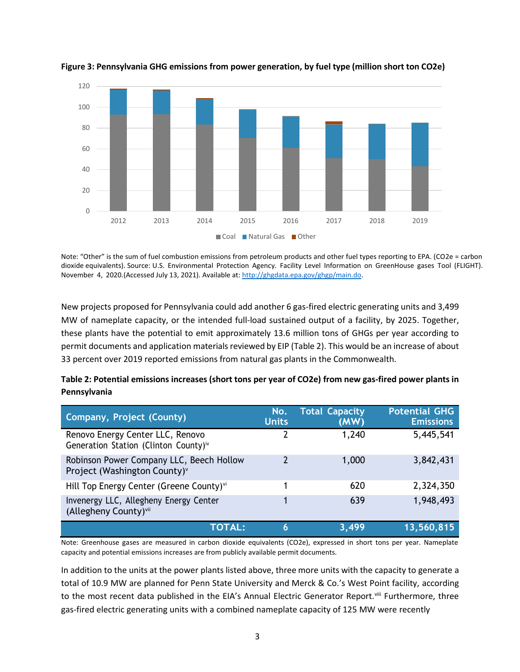

**Figure 3: Pennsylvania GHG emissions from power generation, by fuel type (million short ton CO2e)**

Note: "Other" is the sum of fuel combustion emissions from petroleum products and other fuel types reporting to EPA. (CO2e = carbon dioxide equivalents). Source: U.S. Environmental Protection Agency. Facility Level Information on GreenHouse gases Tool (FLIGHT). November 4, 2020.(Accessed July 13, 2021). Available at: [http://ghgdata.epa.gov/ghgp/main.do.](http://ghgdata.epa.gov/ghgp/main.do)

New projects proposed for Pennsylvania could add another 6 gas-fired electric generating units and 3,499 MW of nameplate capacity, or the intended full-load sustained output of a facility, by 2025. Together, these plants have the potential to emit approximately 13.6 million tons of GHGs per year according to permit documents and application materials reviewed by EIP (Table 2). This would be an increase of about 33 percent over 2019 reported emissions from natural gas plants in the Commonwealth.

| Company, Project (County)                                                             | No.<br><b>Units</b> | <b>Total Capacity</b><br>(MW) | <b>Potential GHG</b><br><b>Emissions</b> |
|---------------------------------------------------------------------------------------|---------------------|-------------------------------|------------------------------------------|
| Renovo Energy Center LLC, Renovo<br>Generation Station (Clinton County) <sup>iv</sup> |                     | 1,240                         | 5,445,541                                |
| Robinson Power Company LLC, Beech Hollow<br>Project (Washington County) <sup>v</sup>  | 7                   | 1,000                         | 3,842,431                                |
| Hill Top Energy Center (Greene County) <sup>vi</sup>                                  | 1                   | 620                           | 2,324,350                                |
| Invenergy LLC, Allegheny Energy Center<br>(Allegheny County) <sup>vii</sup>           |                     | 639                           | 1,948,493                                |
| <b>TOTAL:</b>                                                                         | 6                   | 3,499                         | 13,560,815                               |

| Table 2: Potential emissions increases (short tons per year of CO2e) from new gas-fired power plants in |  |
|---------------------------------------------------------------------------------------------------------|--|
| Pennsylvania                                                                                            |  |

Note: Greenhouse gases are measured in carbon dioxide equivalents (CO2e), expressed in short tons per year. Nameplate capacity and potential emissions increases are from publicly available permit documents.

In addition to the units at the power plants listed above, three more units with the capacity to generate a total of 10.9 MW are planned for Penn State University and Merck & Co.'s West Point facility, according to the most recent data published in the EIA's Annual Electric Generator Report.<sup>[viii](#page-14-7)</sup> Furthermore, three gas-fired electric generating units with a combined nameplate capacity of 125 MW were recently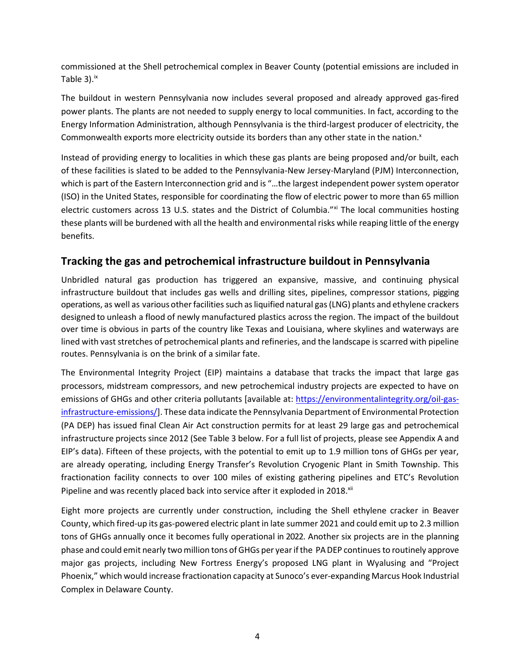commissioned at the Shell petrochemical complex in Beaver County (potential emissions are included in Table  $3$ ). $\frac{1}{x}$ 

The buildout in western Pennsylvania now includes several proposed and already approved gas-fired power plants. The plants are not needed to supply energy to local communities. In fact, according to the Energy Information Administration, although Pennsylvania is the third-largest producer of electricity, the Commonwealth exports more electricity outside its borders than any other state in the nation[.](#page-14-9)<sup>x</sup>

Instead of providing energy to localities in which these gas plants are being proposed and/or built, each of these facilities is slated to be added to the Pennsylvania-New Jersey-Maryland (PJM) Interconnection, which is part of the Eastern Interconnection grid and is "...the largest independent power system operator (ISO) in the United States, responsible for coordinating the flow of electric power to more than 65 million electric customers across 13 U.S. states and the District of Columbia."<sup>[xi](#page-14-10)</sup> The local communities hosting these plants will be burdened with all the health and environmental risks while reaping little of the energy benefits.

### **Tracking the gas and petrochemical infrastructure buildout in Pennsylvania**

Unbridled natural gas production has triggered an expansive, massive, and continuing physical infrastructure buildout that includes gas wells and drilling sites, pipelines, compressor stations, pigging operations, as well as various other facilities such as liquified natural gas (LNG) plants and ethylene crackers designed to unleash a flood of newly manufactured plastics across the region. The impact of the buildout over time is obvious in parts of the country like Texas and Louisiana, where skylines and waterways are lined with vast stretches of petrochemical plants and refineries, and the landscape is scarred with pipeline routes. Pennsylvania is on the brink of a similar fate.

The Environmental Integrity Project (EIP) maintains a database that tracks the impact that large gas processors, midstream compressors, and new petrochemical industry projects are expected to have on emissions of GHGs and other criteria pollutants [available at: [https://environmentalintegrity.org/oil-gas](https://environmentalintegrity.org/oil-gas-infrastructure-emissions/)[infrastructure-emissions/\]](https://environmentalintegrity.org/oil-gas-infrastructure-emissions/). These data indicate the Pennsylvania Department of Environmental Protection (PA DEP) has issued final Clean Air Act construction permits for at least 29 large gas and petrochemical infrastructure projects since 2012 (See Table 3 below. For a full list of projects, please see Appendix A and EIP's data). Fifteen of these projects, with the potential to emit up to 1.9 million tons of GHGs per year, are already operating, including Energy Transfer's Revolution Cryogenic Plant in Smith Township. This fractionation facility connects to over 100 miles of existing gathering pipelines and ETC's Revolution Pipeline and was recently placed back into service after it exploded in 2018.<sup>[xii](#page-14-11)</sup>

Eight more projects are currently under construction, including the Shell ethylene cracker in Beaver County, which fired-up its gas-powered electric plant in late summer 2021 and could emit up to 2.3 million tons of GHGs annually once it becomes fully operational in 2022. Another six projects are in the planning phase and could emit nearly two million tons of GHGs per year if the PA DEP continues to routinely approve major gas projects, including New Fortress Energy's proposed LNG plant in Wyalusing and "Project Phoenix," which would increase fractionation capacity at Sunoco's ever-expanding Marcus Hook Industrial Complex in Delaware County.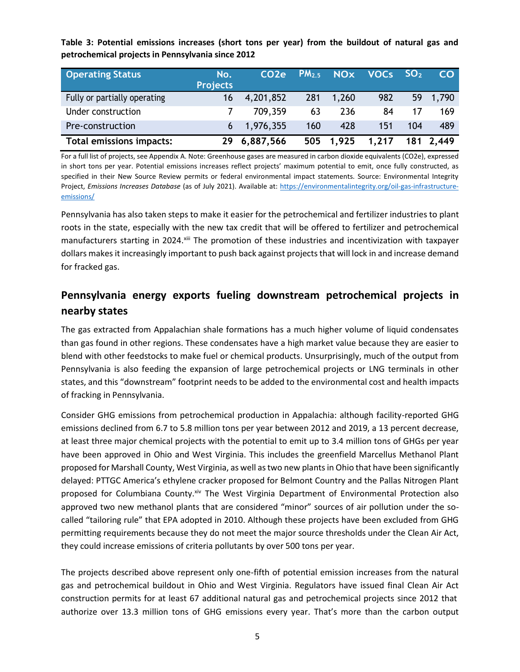**Table 3: Potential emissions increases (short tons per year) from the buildout of natural gas and petrochemical projects in Pennsylvania since 2012**

| <b>Operating Status</b>      | No.<br><b>Projects</b> | CO <sub>2</sub> e |     |       | $PM_{2.5}$ NOx VOCs SO <sub>2</sub> |     | CO.       |
|------------------------------|------------------------|-------------------|-----|-------|-------------------------------------|-----|-----------|
| Fully or partially operating | 16                     | 4,201,852         | 281 | 1,260 | 982                                 |     | 59 1,790  |
| Under construction           |                        | 709,359           | 63  | 236   | 84                                  |     | 169       |
| Pre-construction             |                        | $6$ 1,976,355     | 160 | 428   | 151                                 | 104 | 489       |
| Total emissions impacts:     |                        | 6,887,566         | 505 | 1,925 | 1,217                               |     | 181 2,449 |

For a full list of projects, see Appendix A. Note: Greenhouse gases are measured in carbon dioxide equivalents (CO2e), expressed in short tons per year. Potential emissions increases reflect projects' maximum potential to emit, once fully constructed, as specified in their New Source Review permits or federal environmental impact statements. Source: Environmental Integrity Project, *Emissions Increases Database* (as of July 2021). Available at[: https://environmentalintegrity.org/oil-gas-infrastructure](https://environmentalintegrity.org/oil-gas-infrastructure-emissions/)[emissions/](https://environmentalintegrity.org/oil-gas-infrastructure-emissions/)

Pennsylvania has also taken steps to make it easier for the petrochemical and fertilizer industries to plant roots in the state, especially with the new tax credit that will be offered to fertilizer and petrochemical manufacturers starting in 2024.<sup>[xiii](#page-15-0)</sup> The promotion of these industries and incentivization with taxpayer dollars makes it increasingly important to push back against projects that will lock in and increase demand for fracked gas.

# **Pennsylvania energy exports fueling downstream petrochemical projects in nearby states**

The gas extracted from Appalachian shale formations has a much higher volume of liquid condensates than gas found in other regions. These condensates have a high market value because they are easier to blend with other feedstocks to make fuel or chemical products. Unsurprisingly, much of the output from Pennsylvania is also feeding the expansion of large petrochemical projects or LNG terminals in other states, and this "downstream" footprint needs to be added to the environmental cost and health impacts of fracking in Pennsylvania.

Consider GHG emissions from petrochemical production in Appalachia: although facility-reported GHG emissions declined from 6.7 to 5.8 million tons per year between 2012 and 2019, a 13 percent decrease, at least three major chemical projects with the potential to emit up to 3.4 million tons of GHGs per year have been approved in Ohio and West Virginia. This includes the greenfield Marcellus Methanol Plant proposed for Marshall County, West Virginia, as well astwo new plantsin Ohio that have been significantly delayed: PTTGC America's ethylene cracker proposed for Belmont Country and the Pallas Nitrogen Plant proposed for Columbiana County.[xiv](#page-15-1) The West Virginia Department of Environmental Protection also approved two new methanol plants that are considered "minor" sources of air pollution under the socalled "tailoring rule" that EPA adopted in 2010. Although these projects have been excluded from GHG permitting requirements because they do not meet the major source thresholds under the Clean Air Act, they could increase emissions of criteria pollutants by over 500 tons per year.

The projects described above represent only one-fifth of potential emission increases from the natural gas and petrochemical buildout in Ohio and West Virginia. Regulators have issued final Clean Air Act construction permits for at least 67 additional natural gas and petrochemical projects since 2012 that authorize over 13.3 million tons of GHG emissions every year. That's more than the carbon output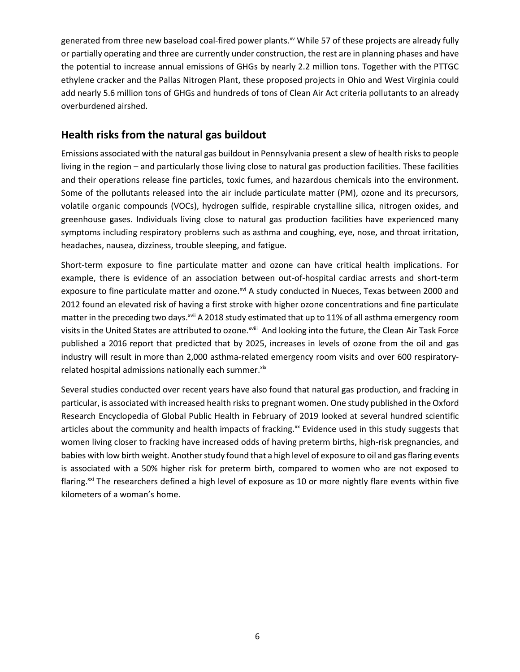generated from three new baseload coal-fired power plants.<sup>[xv](#page-15-2)</sup> While 57 of these projects are already fully or partially operating and three are currently under construction, the rest are in planning phases and have the potential to increase annual emissions of GHGs by nearly 2.2 million tons. Together with the PTTGC ethylene cracker and the Pallas Nitrogen Plant, these proposed projects in Ohio and West Virginia could add nearly 5.6 million tons of GHGs and hundreds of tons of Clean Air Act criteria pollutants to an already overburdened airshed.

### **Health risks from the natural gas buildout**

Emissions associated with the natural gas buildout in Pennsylvania present a slew of health risks to people living in the region – and particularly those living close to natural gas production facilities. These facilities and their operations release fine particles, toxic fumes, and hazardous chemicals into the environment. Some of the pollutants released into the air include particulate matter (PM), ozone and its precursors, volatile organic compounds (VOCs), hydrogen sulfide, respirable crystalline silica, nitrogen oxides, and greenhouse gases. Individuals living close to natural gas production facilities have experienced many symptoms including respiratory problems such as asthma and coughing, eye, nose, and throat irritation, headaches, nausea, dizziness, trouble sleeping, and fatigue.

Short-term exposure to fine particulate matter and ozone can have critical health implications. For example, there is evidence of an association between out-of-hospital cardiac arrests and short-term exposure to fine particulate matter and ozone.<sup>[xvi](#page-15-3)</sup> A study conducted in Nueces, Texas between 2000 and 2012 found an elevated risk of having a first stroke with higher ozone concentrations and fine particulate matter in the preceding two days.<sup>[xvii](#page-15-4)</sup> A 2018 study estimated that up to 11% of all asthma emergency room visits in the United States are attributed to ozone.<sup>xviii</sup> And looking into the future, the Clean Air Task Force published a 2016 report that predicted that by 2025, increases in levels of ozone from the oil and gas industry will result in more than 2,000 asthma-related emergency room visits and over 600 respiratoryrelated hospital admissions nationally each summer. Xix

Several studies conducted over recent years have also found that natural gas production, and fracking in particular, is associated with increased health risksto pregnant women. One study published in the Oxford Research Encyclopedia of Global Public Health in February of 2019 looked at several hundred scientific articles about the community and health impacts of fracking.<sup>[xx](#page-15-6)</sup> Evidence used in this study suggests that women living closer to fracking have increased odds of having preterm births, high-risk pregnancies, and babies with low birth weight. Another study found that a high level of exposure to oil and gas flaring events is associated with a 50% higher risk for preterm birth, compared to women who are not exposed to flaring.<sup>[xxi](#page-15-0)</sup> The researchers defined a high level of exposure as 10 or more nightly flare events within five kilometers of a woman's home.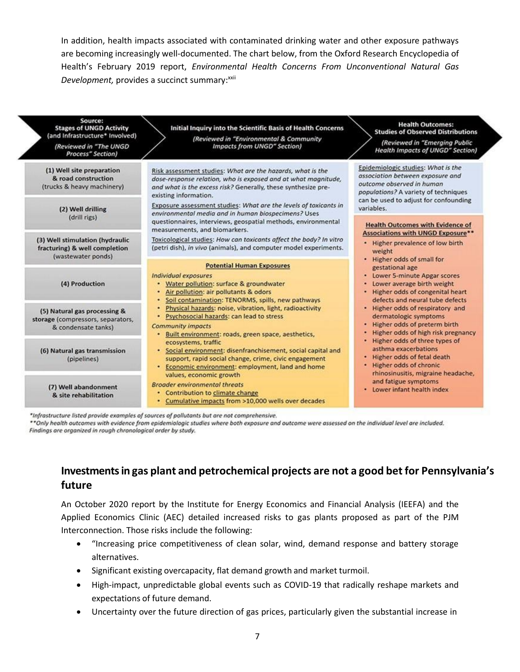In addition, health impacts associated with contaminated drinking water and other exposure pathways are becoming increasingly well-documented. The chart below, from the Oxford Research Encyclopedia of Health's February 2019 report, *Environmental Health Concerns From Unconventional Natural Gas* **Development, provides a succinct summary:**[xxii](#page-15-0)

| Source:<br><b>Stages of UNGD Activity</b><br>(and Infrastructure* Involved)<br>(Reviewed in "The UNGD<br>Process" Section) | Initial Inquiry into the Scientific Basis of Health Concerns<br>(Reviewed in "Environmental & Community<br><b>Impacts from UNGD" Section)</b>                                                                                                                                             | <b>Health Outcomes:</b><br><b>Studies of Observed Distributions</b><br>(Reviewed in "Emerging Public<br><b>Health Impacts of UNGD" Section)</b>                                                    |
|----------------------------------------------------------------------------------------------------------------------------|-------------------------------------------------------------------------------------------------------------------------------------------------------------------------------------------------------------------------------------------------------------------------------------------|----------------------------------------------------------------------------------------------------------------------------------------------------------------------------------------------------|
| (1) Well site preparation<br>& road construction<br>(trucks & heavy machinery)<br>(2) Well drilling                        | Risk assessment studies: What are the hazards, what is the<br>dose-response relation, who is exposed and at what magnitude,<br>and what is the excess risk? Generally, these synthesize pre-<br>existing information.<br>Exposure assessment studies: What are the levels of toxicants in | Epidemiologic studies: What is the<br>association between exposure and<br>outcome observed in human<br>populations? A variety of techniques<br>can be used to adjust for confounding<br>variables. |
| (drill rigs)                                                                                                               | environmental media and in human biospecimens? Uses<br>questionnaires, interviews, geospatial methods, environmental<br>measurements, and biomarkers.                                                                                                                                     | <b>Health Outcomes with Evidence of</b><br><b>Associations with UNGD Exposure**</b>                                                                                                                |
| (3) Well stimulation (hydraulic<br>fracturing) & well completion<br>(wastewater ponds)                                     | Toxicological studies: How can toxicants affect the body? In vitro<br>(petri dish), in vivo (animals), and computer model experiments.                                                                                                                                                    | . Higher prevalence of low birth<br>weight<br>• Higher odds of small for                                                                                                                           |
| (4) Production                                                                                                             | <b>Potential Human Exposures</b><br>Individual exposures<br>• Water pollution: surface & groundwater<br>Air pollution: air pollutants & odors<br>Soil contamination: TENORMS, spills, new pathways                                                                                        | gestational age<br>• Lower 5-minute Apgar scores<br>Lower average birth weight<br>· Higher odds of congenital heart<br>defects and neural tube defects                                             |
| (5) Natural gas processing &<br>storage (compressors, separators,<br>& condensate tanks)                                   | Physical hazards: noise, vibration, light, radioactivity<br>Psychosocial hazards: can lead to stress<br><b>Community impacts</b><br>Built environment: roads, green space, aesthetics,<br>٠                                                                                               | . Higher odds of respiratory and<br>dermatologic symptoms<br>Higher odds of preterm birth<br>Higher odds of high risk pregnancy                                                                    |
| (6) Natural gas transmission<br>(pipelines)                                                                                | ecosystems, traffic<br>· Social environment: disenfranchisement, social capital and<br>support, rapid social change, crime, civic engagement<br>• Economic environment: employment, land and home<br>values, economic growth                                                              | Higher odds of three types of<br>asthma exacerbations<br>Higher odds of fetal death<br>Higher odds of chronic<br>rhinosinusitis, migraine headache,                                                |
| (7) Well abandonment<br>& site rehabilitation                                                                              | <b>Broader environmental threats</b><br>• Contribution to climate change<br>• Cumulative impacts from >10,000 wells over decades                                                                                                                                                          | and fatigue symptoms<br>• Lower infant health index                                                                                                                                                |

\*Infrastructure listed provide examples of sources of pollutants but are not comprehensive.

\*\*Only health outcomes with evidence from epidemiologic studies where both exposure and outcome were assessed on the individual level are included. Findings are organized in rough chronological order by study.

# **Investments in gas plant and petrochemical projects are not a good bet for Pennsylvania's future**

An October 2020 report by the Institute for Energy Economics and Financial Analysis (IEEFA) and the Applied Economics Clinic (AEC) detailed increased risks to gas plants proposed as part of the PJM Interconnection. Those risks include the following:

- "Increasing price competitiveness of clean solar, wind, demand response and battery storage alternatives.
- Significant existing overcapacity, flat demand growth and market turmoil.
- High-impact, unpredictable global events such as COVID-19 that radically reshape markets and expectations of future demand.
- Uncertainty over the future direction of gas prices, particularly given the substantial increase in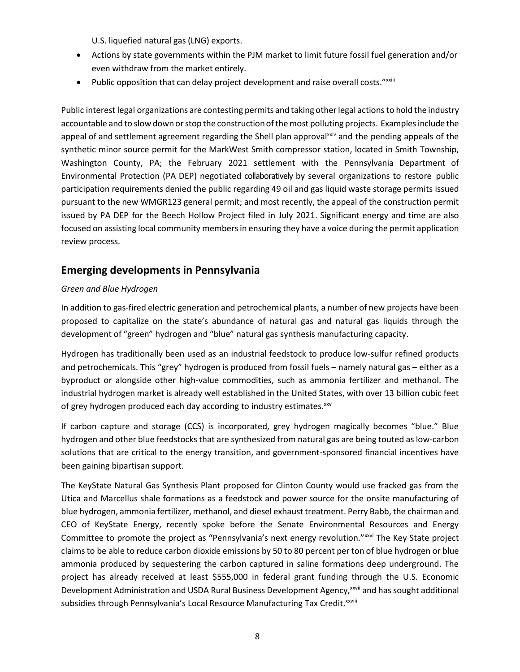U.S. liquefied natural gas (LNG) exports.

- Actions by state governments within the PJM market to limit future fossil fuel generation and/or even withdraw from the market entirely.
- Public opposition that can delay project development and raise overall costs."<sup>xxiii</sup>

Public interest legal organizations are contesting permits and taking other legal actions to hold the industry accountable and to slow down or stop the construction of the most polluting projects. Examples include the appeal of and settlement agreement regarding the Shell plan approval<sup>[xxiv](#page-15-0)</sup> and the pending appeals of the synthetic minor source permit for the MarkWest Smith compressor station, located in Smith Township, Washington County, PA; the February 2021 settlement with the Pennsylvania Department of Environmental Protection (PA DEP) negotiated collaboratively by several organizations to restore public participation requirements denied the public regarding 49 oil and gas liquid waste storage permits issued pursuant to the new WMGR123 general permit; and most recently, the appeal of the construction permit issued by PA DEP for the Beech Hollow Project filed in July 2021. Significant energy and time are also focused on assisting local community members in ensuring they have a voice during the permit application review process.

### **Emerging developments in Pennsylvania**

#### *Green and Blue Hydrogen*

In addition to gas-fired electric generation and petrochemical plants, a number of new projects have been proposed to capitalize on the state's abundance of natural gas and natural gas liquids through the development of "green" hydrogen and "blue" natural gas synthesis manufacturing capacity.

Hydrogen has traditionally been used as an industrial feedstock to produce low-sulfur refined products and petrochemicals. This "grey" hydrogen is produced from fossil fuels – namely natural gas – either as a byproduct or alongside other high-value commodities, such as ammonia fertilizer and methanol. The industrial hydrogen market is already well established in the United States, with over 13 billion cubic feet of grey hydrogen produced each day according to industry estimates. XXV

If carbon capture and storage (CCS) is incorporated, grey hydrogen magically becomes "blue." Blue hydrogen and other blue feedstocks that are synthesized from natural gas are being touted as low-carbon solutions that are critical to the energy transition, and government-sponsored financial incentives have been gaining bipartisan support.

The KeyState Natural Gas Synthesis Plant proposed for Clinton County would use fracked gas from the Utica and Marcellus shale formations as a feedstock and power source for the onsite manufacturing of blue hydrogen, ammonia fertilizer, methanol, and diesel exhaust treatment. Perry Babb, the chairman and CEO of KeyState Energy, recently spoke before the Senate Environmental Resources and Energy Committee to promote the project as "Pennsylvania's next energy revolution."<sup>[xxvi](#page-15-0)</sup> The Key State project claimsto be able to reduce carbon dioxide emissions by 50 to 80 percent per ton of blue hydrogen or blue ammonia produced by sequestering the carbon captured in saline formations deep underground. The project has already received at least \$555,000 in federal grant funding through the U.S. Economic Development Administration and USDA Rural Business Development Agency,<sup>xxvii</sup> and has sought additional subsidies through Pennsylvania's Local Resource Manufacturing Tax Credit. XXVIII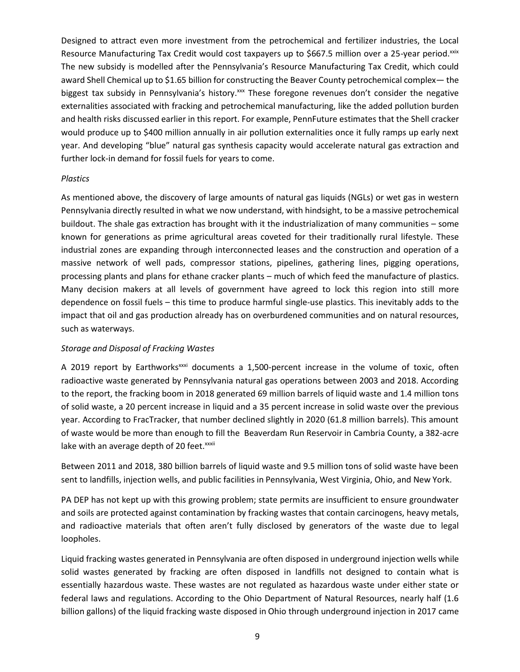Designed to attract even more investment from the petrochemical and fertilizer industries, the Local Resource Manufacturing Tax Credit would cost taxpayers up to \$667.5 million over a 25-year period.[xxix](#page-15-7) The new subsidy is modelled after the Pennsylvania's Resource Manufacturing Tax Credit, which could award Shell Chemical up to \$1.65 billion for constructing the Beaver County petrochemical complex— the biggest tax subsidy in Pennsylvania's history.<sup>[xxx](#page-15-8)</sup> These foregone revenues don't consider the negative externalities associated with fracking and petrochemical manufacturing, like the added pollution burden and health risks discussed earlier in this report. For example, PennFuture estimates that the Shell cracker would produce up to \$400 million annually in air pollution externalities once it fully ramps up early next year. And developing "blue" natural gas synthesis capacity would accelerate natural gas extraction and further lock-in demand for fossil fuels for years to come.

#### *Plastics*

As mentioned above, the discovery of large amounts of natural gas liquids (NGLs) or wet gas in western Pennsylvania directly resulted in what we now understand, with hindsight, to be a massive petrochemical buildout. The shale gas extraction has brought with it the industrialization of many communities – some known for generations as prime agricultural areas coveted for their traditionally rural lifestyle. These industrial zones are expanding through interconnected leases and the construction and operation of a massive network of well pads, compressor stations, pipelines, gathering lines, pigging operations, processing plants and plans for ethane cracker plants – much of which feed the manufacture of plastics. Many decision makers at all levels of government have agreed to lock this region into still more dependence on fossil fuels – this time to produce harmful single-use plastics. This inevitably adds to the impact that oil and gas production already has on overburdened communities and on natural resources, such as waterways.

#### *Storage and Disposal of Fracking Wastes*

A 2019 report by Earthworks<sup>[xxxi](#page-15-4)</sup> documents a 1,500-percent increase in the volume of toxic, often radioactive waste generated by Pennsylvania natural gas operations between 2003 and 2018. According to the report, the fracking boom in 2018 generated 69 million barrels of liquid waste and 1.4 million tons of solid waste, a 20 percent increase in liquid and a 35 percent increase in solid waste over the previous year. According to FracTracker, that number declined slightly in 2020 (61.8 million barrels). This amount of waste would be more than enough to fill the Beaverdam Run Reservoir in Cambria County, a 382-acre lake with an average depth of 20 feet.<sup>xxxii</sup>

Between 2011 and 2018, 380 billion barrels of liquid waste and 9.5 million tons of solid waste have been sent to landfills, injection wells, and public facilities in Pennsylvania, West Virginia, Ohio, and New York.

PA DEP has not kept up with this growing problem; state permits are insufficient to ensure groundwater and soils are protected against contamination by fracking wastes that contain carcinogens, heavy metals, and radioactive materials that often aren't fully disclosed by generators of the waste due to legal loopholes.

Liquid fracking wastes generated in Pennsylvania are often disposed in underground injection wells while solid wastes generated by fracking are often disposed in landfills not designed to contain what is essentially hazardous waste. These wastes are not regulated as hazardous waste under either state or federal laws and regulations. According to the Ohio Department of Natural Resources, nearly half (1.6 billion gallons) of the liquid fracking waste disposed in Ohio through underground injection in 2017 came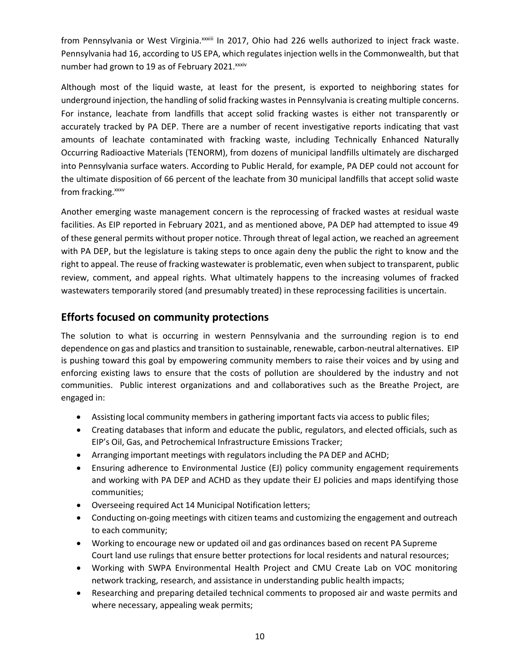from Pennsylvania or West Virginia. XXXIII In 2017, Ohio had 226 wells authorized to inject frack waste. Pennsylvania had 16, according to US EPA, which regulates injection wellsin the Commonwealth, but that number had grown to 19 as of February 2021.<sup>xxxiv</sup>

Although most of the liquid waste, at least for the present, is exported to neighboring states for underground injection, the handling of solid fracking wastes in Pennsylvania is creating multiple concerns. For instance, leachate from landfills that accept solid fracking wastes is either not transparently or accurately tracked by PA DEP. There are a number of recent investigative reports indicating that vast amounts of leachate contaminated with fracking waste, including Technically Enhanced Naturally Occurring Radioactive Materials (TENORM), from dozens of municipal landfills ultimately are discharged into Pennsylvania surface waters. According to Public Herald, for example, PA DEP could not account for the ultimate disposition of 66 percent of the leachate from 30 municipal landfills that accept solid waste from fracking. [xxxv](#page-15-9)

Another emerging waste management concern is the reprocessing of fracked wastes at residual waste facilities. As EIP reported in February 2021, and as mentioned above, PA DEP had attempted to issue 49 of these general permits without proper notice. Through threat of legal action, we reached an agreement with PA DEP, but the legislature is taking steps to once again deny the public the right to know and the right to appeal. The reuse of fracking wastewater is problematic, even when subject to transparent, public review, comment, and appeal rights. What ultimately happens to the increasing volumes of fracked wastewaters temporarily stored (and presumably treated) in these reprocessing facilities is uncertain.

### **Efforts focused on community protections**

The solution to what is occurring in western Pennsylvania and the surrounding region is to end dependence on gas and plastics and transition to sustainable, renewable, carbon-neutral alternatives. EIP is pushing toward this goal by empowering community members to raise their voices and by using and enforcing existing laws to ensure that the costs of pollution are shouldered by the industry and not communities. Public interest organizations and and collaboratives such as the Breathe Project, are engaged in:

- Assisting local community members in gathering important facts via access to public files;
- Creating databases that inform and educate the public, regulators, and elected officials, such as EIP's Oil, Gas, and Petrochemical Infrastructure Emissions Tracker;
- Arranging important meetings with regulators including the PA DEP and ACHD;
- Ensuring adherence to Environmental Justice (EJ) policy community engagement requirements and working with PA DEP and ACHD as they update their EJ policies and maps identifying those communities;
- Overseeing required Act 14 Municipal Notification letters;
- Conducting on-going meetings with citizen teams and customizing the engagement and outreach to each community;
- Working to encourage new or updated oil and gas ordinances based on recent PA Supreme Court land use rulings that ensure better protections for local residents and natural resources;
- Working with SWPA Environmental Health Project and CMU Create Lab on VOC monitoring network tracking, research, and assistance in understanding public health impacts;
- Researching and preparing detailed technical comments to proposed air and waste permits and where necessary, appealing weak permits;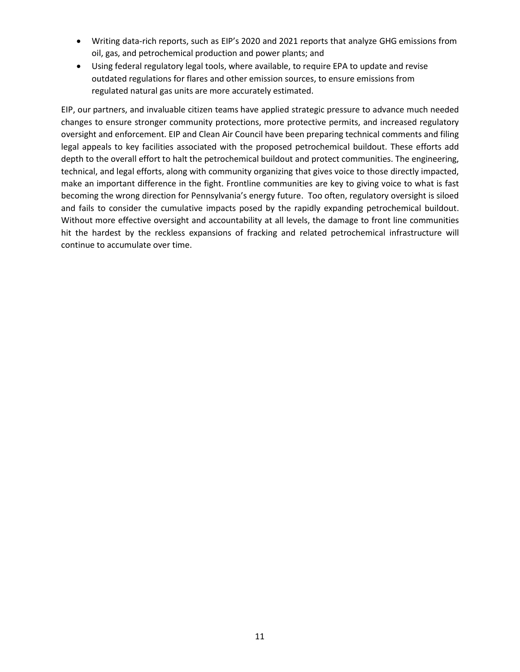- Writing data-rich reports, such as EIP's 2020 and 2021 reports that analyze GHG emissions from oil, gas, and petrochemical production and power plants; and
- Using federal regulatory legal tools, where available, to require EPA to update and revise outdated regulations for flares and other emission sources, to ensure emissions from regulated natural gas units are more accurately estimated.

EIP, our partners, and invaluable citizen teams have applied strategic pressure to advance much needed changes to ensure stronger community protections, more protective permits, and increased regulatory oversight and enforcement. EIP and Clean Air Council have been preparing technical comments and filing legal appeals to key facilities associated with the proposed petrochemical buildout. These efforts add depth to the overall effort to halt the petrochemical buildout and protect communities. The engineering, technical, and legal efforts, along with community organizing that gives voice to those directly impacted, make an important difference in the fight. Frontline communities are key to giving voice to what is fast becoming the wrong direction for Pennsylvania's energy future. Too often, regulatory oversight is siloed and fails to consider the cumulative impacts posed by the rapidly expanding petrochemical buildout. Without more effective oversight and accountability at all levels, the damage to front line communities hit the hardest by the reckless expansions of fracking and related petrochemical infrastructure will continue to accumulate over time.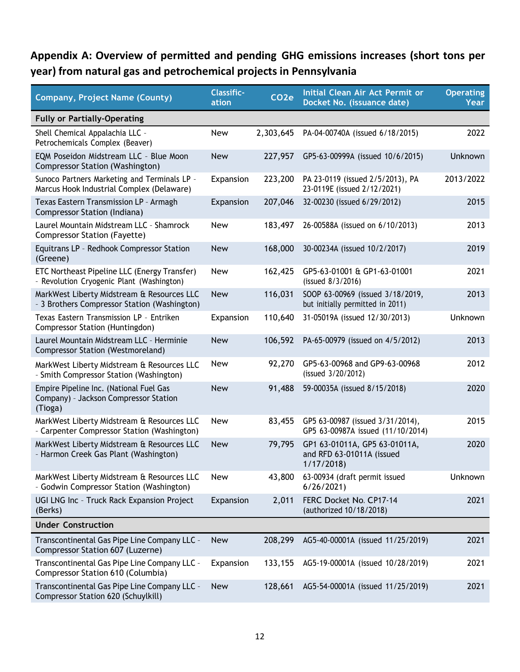# **Appendix A: Overview of permitted and pending GHG emissions increases (short tons per year) from natural gas and petrochemical projects in Pennsylvania**

| <b>Company, Project Name (County)</b>                                                       | <b>Classific-</b><br>ation | CO <sub>2</sub> e | Initial Clean Air Act Permit or<br>Docket No. (issuance date)           | <b>Operating</b><br><b>Year</b> |
|---------------------------------------------------------------------------------------------|----------------------------|-------------------|-------------------------------------------------------------------------|---------------------------------|
| <b>Fully or Partially-Operating</b>                                                         |                            |                   |                                                                         |                                 |
| Shell Chemical Appalachia LLC -<br>Petrochemicals Complex (Beaver)                          | New                        | 2,303,645         | PA-04-00740A (issued 6/18/2015)                                         | 2022                            |
| EQM Poseidon Midstream LLC - Blue Moon<br>Compressor Station (Washington)                   | <b>New</b>                 | 227,957           | GP5-63-00999A (issued 10/6/2015)                                        | Unknown                         |
| Sunoco Partners Marketing and Terminals LP -<br>Marcus Hook Industrial Complex (Delaware)   | Expansion                  | 223,200           | PA 23-0119 (issued 2/5/2013), PA<br>23-0119E (issued 2/12/2021)         | 2013/2022                       |
| Texas Eastern Transmission LP - Armagh<br>Compressor Station (Indiana)                      | Expansion                  | 207,046           | 32-00230 (issued 6/29/2012)                                             | 2015                            |
| Laurel Mountain Midstream LLC - Shamrock<br><b>Compressor Station (Fayette)</b>             | <b>New</b>                 | 183,497           | 26-00588A (issued on 6/10/2013)                                         | 2013                            |
| Equitrans LP - Redhook Compressor Station<br>(Greene)                                       | <b>New</b>                 | 168,000           | 30-00234A (issued 10/2/2017)                                            | 2019                            |
| ETC Northeast Pipeline LLC (Energy Transfer)<br>- Revolution Cryogenic Plant (Washington)   | <b>New</b>                 | 162,425           | GP5-63-01001 & GP1-63-01001<br>(issued 8/3/2016)                        | 2021                            |
| MarkWest Liberty Midstream & Resources LLC<br>- 3 Brothers Compressor Station (Washington)  | <b>New</b>                 | 116,031           | SOOP 63-00969 (issued 3/18/2019,<br>but initially permitted in 2011)    | 2013                            |
| Texas Eastern Transmission LP - Entriken<br>Compressor Station (Huntingdon)                 | Expansion                  | 110,640           | 31-05019A (issued 12/30/2013)                                           | Unknown                         |
| Laurel Mountain Midstream LLC - Herminie<br><b>Compressor Station (Westmoreland)</b>        | <b>New</b>                 | 106,592           | PA-65-00979 (issued on 4/5/2012)                                        | 2013                            |
| MarkWest Liberty Midstream & Resources LLC<br>- Smith Compressor Station (Washington)       | <b>New</b>                 | 92,270            | GP5-63-00968 and GP9-63-00968<br>(issued 3/20/2012)                     | 2012                            |
| Empire Pipeline Inc. (National Fuel Gas<br>Company) - Jackson Compressor Station<br>(Tioga) | <b>New</b>                 | 91,488            | 59-00035A (issued 8/15/2018)                                            | 2020                            |
| MarkWest Liberty Midstream & Resources LLC<br>- Carpenter Compressor Station (Washington)   | <b>New</b>                 | 83,455            | GP5 63-00987 (issued 3/31/2014),<br>GP5 63-00987A issued (11/10/2014)   | 2015                            |
| MarkWest Liberty Midstream & Resources LLC<br>- Harmon Creek Gas Plant (Washington)         | <b>New</b>                 | 79,795            | GP1 63-01011A, GP5 63-01011A,<br>and RFD 63-01011A (issued<br>1/17/2018 | 2020                            |
| MarkWest Liberty Midstream & Resources LLC<br>- Godwin Compressor Station (Washington)      | <b>New</b>                 | 43,800            | 63-00934 (draft permit issued<br>6/26/2021                              | Unknown                         |
| UGI LNG Inc - Truck Rack Expansion Project<br>(Berks)                                       | Expansion                  | 2,011             | FERC Docket No. CP17-14<br>(authorized 10/18/2018)                      | 2021                            |
| <b>Under Construction</b>                                                                   |                            |                   |                                                                         |                                 |
| Transcontinental Gas Pipe Line Company LLC -<br>Compressor Station 607 (Luzerne)            | <b>New</b>                 | 208,299           | AG5-40-00001A (issued 11/25/2019)                                       | 2021                            |
| Transcontinental Gas Pipe Line Company LLC -<br>Compressor Station 610 (Columbia)           | Expansion                  | 133,155           | AG5-19-00001A (issued 10/28/2019)                                       | 2021                            |
| Transcontinental Gas Pipe Line Company LLC -<br>Compressor Station 620 (Schuylkill)         | <b>New</b>                 | 128,661           | AG5-54-00001A (issued 11/25/2019)                                       | 2021                            |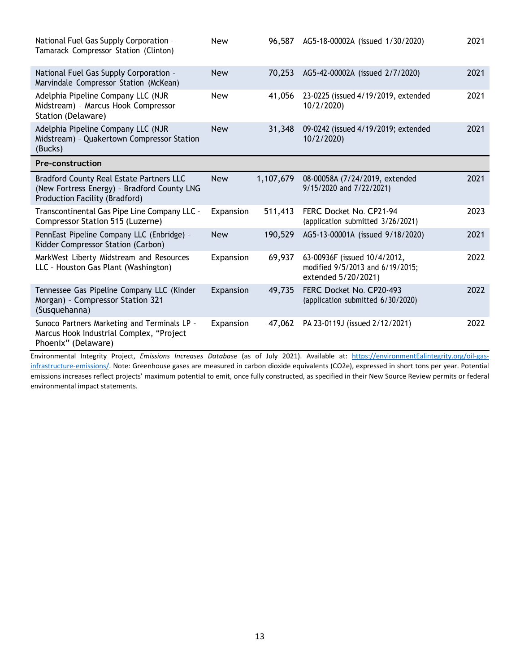| National Fuel Gas Supply Corporation -<br>Tamarack Compressor Station (Clinton)                                           | <b>New</b> | 96,587    | AG5-18-00002A (issued 1/30/2020)                                                        | 2021 |
|---------------------------------------------------------------------------------------------------------------------------|------------|-----------|-----------------------------------------------------------------------------------------|------|
| National Fuel Gas Supply Corporation -<br>Marvindale Compressor Station (McKean)                                          | <b>New</b> | 70,253    | AG5-42-00002A (issued 2/7/2020)                                                         | 2021 |
| Adelphia Pipeline Company LLC (NJR<br>Midstream) - Marcus Hook Compressor<br>Station (Delaware)                           | <b>New</b> | 41,056    | 23-0225 (issued 4/19/2019, extended<br>10/2/2020)                                       | 2021 |
| Adelphia Pipeline Company LLC (NJR<br>Midstream) - Quakertown Compressor Station<br>(Bucks)                               | <b>New</b> | 31,348    | 09-0242 (issued 4/19/2019; extended<br>10/2/2020)                                       | 2021 |
| <b>Pre-construction</b>                                                                                                   |            |           |                                                                                         |      |
| Bradford County Real Estate Partners LLC<br>(New Fortress Energy) - Bradford County LNG<br>Production Facility (Bradford) | <b>New</b> | 1,107,679 | 08-00058A (7/24/2019, extended<br>9/15/2020 and 7/22/2021)                              | 2021 |
| Transcontinental Gas Pipe Line Company LLC -<br>Compressor Station 515 (Luzerne)                                          | Expansion  | 511,413   | FERC Docket No. CP21-94<br>(application submitted 3/26/2021)                            | 2023 |
| PennEast Pipeline Company LLC (Enbridge) -<br>Kidder Compressor Station (Carbon)                                          | <b>New</b> | 190,529   | AG5-13-00001A (issued 9/18/2020)                                                        | 2021 |
| MarkWest Liberty Midstream and Resources<br>LLC - Houston Gas Plant (Washington)                                          | Expansion  | 69,937    | 63-00936F (issued 10/4/2012,<br>modified 9/5/2013 and 6/19/2015;<br>extended 5/20/2021) | 2022 |
| Tennessee Gas Pipeline Company LLC (Kinder<br>Morgan) - Compressor Station 321<br>(Susquehanna)                           | Expansion  | 49,735    | FERC Docket No. CP20-493<br>(application submitted 6/30/2020)                           | 2022 |
| Sunoco Partners Marketing and Terminals LP -<br>Marcus Hook Industrial Complex, "Project<br>Phoenix" (Delaware)           | Expansion  | 47,062    | PA 23-0119J (issued 2/12/2021)                                                          | 2022 |

Environmental Integrity Project, *Emissions Increases Database* (as of July 2021). Available at: [https://environmentEalintegrity.org/oil-gas](https://environmentealintegrity.org/oil-gas-infrastructure-emissions/)[infrastructure-emissions/. N](https://environmentealintegrity.org/oil-gas-infrastructure-emissions/)ote: Greenhouse gases are measured in carbon dioxide equivalents (CO2e), expressed in short tons per year. Potential emissions increases reflect projects' maximum potential to emit, once fully constructed, as specified in their New Source Review permits or federal environmental impact statements.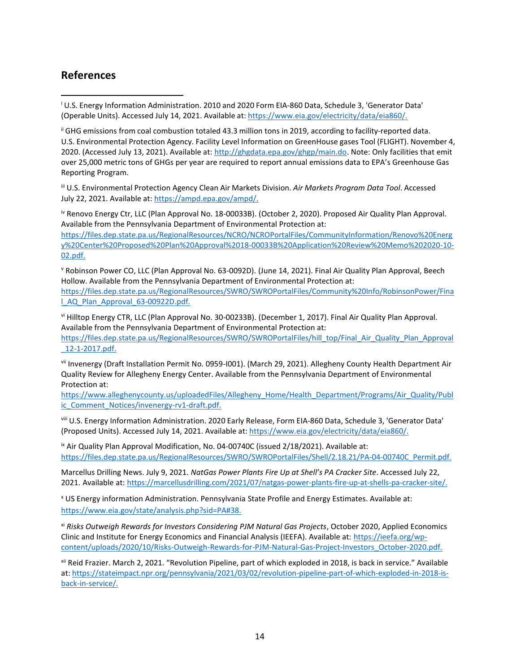### **References**

<sup>i</sup> U.S. Energy Information Administration. 2010 and 2020 Form EIA-860 Data, Schedule 3, 'Generator Data' (Operable Units). Accessed July 14, 2021. Available at: [https://www.eia.gov/electricity/data/eia860/.](https://www.eia.gov/electricity/data/eia860/)

ii GHG emissions from coal combustion totaled 43.3 million tons in 2019, according to facility-reported data. U.S. Environmental Protection Agency. Facility Level Information on GreenHouse gases Tool (FLIGHT). November 4, 2020. (Accessed July 13, 2021). Available at: [http://ghgdata.epa.gov/ghgp/main.do. N](http://ghgdata.epa.gov/ghgp/main.do)ote: Only facilities that emit over 25,000 metric tons of GHGs per year are required to report annual emissions data to EPA's Greenhouse Gas Reporting Program.

iii U.S. Environmental Protection Agency Clean Air Markets Division. *Air Markets Program Data Tool*. Accessed July 22, 2021. Available at: [https://ampd.epa.gov/ampd/.](https://ampd.epa.gov/ampd/)

iv Renovo Energy Ctr, LLC (Plan Approval No. 18-00033B). (October 2, 2020). Proposed Air Quality Plan Approval. Available from the Pennsylvania Department of Environmental Protection at: [https://files.dep.state.pa.us/RegionalResources/NCRO/NCROPortalFiles/CommunityInformation/Renovo%20Energ](https://files.dep.state.pa.us/RegionalResources/NCRO/NCROPortalFiles/CommunityInformation/Renovo%20Energy%20Center%20Proposed%20Plan%20Approval%2018-00033B%20Application%20Review%20Memo%202020-10-02.pdf) [y%20Center%20Proposed%20Plan%20Approval%2018-00033B%20Application%20Review%20Memo%202020-10-](https://files.dep.state.pa.us/RegionalResources/NCRO/NCROPortalFiles/CommunityInformation/Renovo%20Energy%20Center%20Proposed%20Plan%20Approval%2018-00033B%20Application%20Review%20Memo%202020-10-02.pdf) [02.pdf.](https://files.dep.state.pa.us/RegionalResources/NCRO/NCROPortalFiles/CommunityInformation/Renovo%20Energy%20Center%20Proposed%20Plan%20Approval%2018-00033B%20Application%20Review%20Memo%202020-10-02.pdf)

<sup>v</sup> Robinson Power CO, LLC (Plan Approval No. 63-0092D). (June 14, 2021). Final Air Quality Plan Approval, Beech Hollow. Available from the Pennsylvania Department of Environmental Protection at: [https://files.dep.state.pa.us/RegionalResources/SWRO/SWROPortalFiles/Community%20Info/RobinsonPower/Fina](https://files.dep.state.pa.us/RegionalResources/SWRO/SWROPortalFiles/Community%20Info/RobinsonPower/Final_AQ_Plan_Approval_63-00922D.pdf) [l\\_AQ\\_Plan\\_Approval\\_63-00922D.pdf.](https://files.dep.state.pa.us/RegionalResources/SWRO/SWROPortalFiles/Community%20Info/RobinsonPower/Final_AQ_Plan_Approval_63-00922D.pdf)

vi Hilltop Energy CTR, LLC (Plan Approval No. 30-00233B). (December 1, 2017). Final Air Quality Plan Approval. Available from the Pennsylvania Department of Environmental Protection at: [https://files.dep.state.pa.us/RegionalResources/SWRO/SWROPortalFiles/hill\\_top/Final\\_Air\\_Quality\\_Plan\\_Approval](https://files.dep.state.pa.us/RegionalResources/SWRO/SWROPortalFiles/hill_top/Final_Air_Quality_Plan_Approval_12-1-2017.pdf) [\\_12-1-2017.pdf.](https://files.dep.state.pa.us/RegionalResources/SWRO/SWROPortalFiles/hill_top/Final_Air_Quality_Plan_Approval_12-1-2017.pdf)

vii Invenergy (Draft Installation Permit No. 0959-I001). (March 29, 2021). Allegheny County Health Department Air Quality Review for Allegheny Energy Center. Available from the Pennsylvania Department of Environmental Protection at:

[https://www.alleghenycounty.us/uploadedFiles/Allegheny\\_Home/Health\\_Department/Programs/Air\\_Quality/Publ](https://www.alleghenycounty.us/uploadedFiles/Allegheny_Home/Health_Department/Programs/Air_Quality/Public_Comment_Notices/invenergy-rv1-draft.pdf) ic Comment Notices/invenergy-rv1-draft.pdf.

viii U.S. Energy Information Administration. 2020 Early Release, Form EIA-860 Data, Schedule 3, 'Generator Data' (Proposed Units). Accessed July 14, 2021. Available at: [https://www.eia.gov/electricity/data/eia860/.](https://www.eia.gov/electricity/data/eia860/)

ix Air Quality Plan Approval Modification, No. 04-00740C (issued 2/18/2021). Available at: [https://files.dep.state.pa.us/RegionalResources/SWRO/SWROPortalFiles/Shell/2.18.21/PA-04-00740C\\_Permit.pdf.](https://files.dep.state.pa.us/RegionalResources/SWRO/SWROPortalFiles/Shell/2.18.21/PA-04-00740C_Permit.pdf)

Marcellus Drilling News. July 9, 2021. *NatGas Power Plants Fire Up at Shell's PA Cracker Site*. Accessed July 22, 2021. Available at: [https://marcellusdrilling.com/2021/07/natgas-power-plants-fire-up-at-shells-pa-cracker-site/.](https://marcellusdrilling.com/2021/07/natgas-power-plants-fire-up-at-shells-pa-cracker-site/)

<sup>x</sup> US Energy information Administration. Pennsylvania State Profile and Energy Estimates. Available at: [https://www.eia.gov/state/analysis.php?sid=PA#38.](https://www.eia.gov/state/analysis.php?sid=PA&38)

xi *Risks Outweigh Rewards for Investors Considering PJM Natural Gas Projects*, October 2020, Applied Economics Clinic and Institute for Energy Economics and Financial Analysis (IEEFA). Available at: [https://ieefa.org/wp](https://ieefa.org/wp-content/uploads/2020/10/Risks-Outweigh-Rewards-for-PJM-Natural-Gas-Project-Investors_October-2020.pdf)[content/uploads/2020/10/Risks-Outweigh-Rewards-for-PJM-Natural-Gas-Project-Investors\\_October-2020.pdf.](https://ieefa.org/wp-content/uploads/2020/10/Risks-Outweigh-Rewards-for-PJM-Natural-Gas-Project-Investors_October-2020.pdf)

xii Reid Frazier. March 2, 2021. "Revolution Pipeline, part of which exploded in 2018, is back in service." Available at: [https://stateimpact.npr.org/pennsylvania/2021/03/02/revolution-pipeline-part-of-which-exploded-in-2018-is](https://stateimpact.npr.org/pennsylvania/2021/03/02/revolution-pipeline-part-of-which-exploded-in-2018-is-back-in-service/)[back-in-service/.](https://stateimpact.npr.org/pennsylvania/2021/03/02/revolution-pipeline-part-of-which-exploded-in-2018-is-back-in-service/)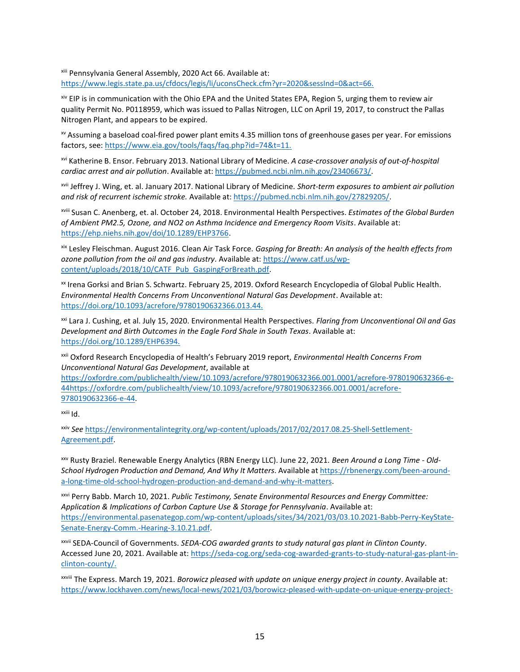xiii Pennsylvania General Assembly, 2020 Act 66. Available at: [https://www.legis.state.pa.us/cfdocs/legis/li/uconsCheck.cfm?yr=2020&sessInd=0&act=66.](https://www.legis.state.pa.us/cfdocs/legis/li/uconsCheck.cfm?yr=2020&sessInd=0&act=66)

<span id="page-14-0"></span>xiv EIP is in communication with the Ohio EPA and the United States EPA, Region 5, urging them to review air quality Permit No. P0118959, which was issued to Pallas Nitrogen, LLC on April 19, 2017, to construct the Pallas Nitrogen Plant, and appears to be expired.

<span id="page-14-1"></span>xv Assuming a baseload coal-fired power plant emits 4.35 million tons of greenhouse gases per year. For emissions factors, see: [https://www.eia.gov/tools/faqs/faq.php?id=74&t=11.](https://www.eia.gov/tools/faqs/faq.php?id=74&t=11)

xvi Katherine B. Ensor. February 2013. National Library of Medicine. *A case-crossover analysis of out-of-hospital cardiac arrest and air pollution*. Available at: [https://pubmed.ncbi.nlm.nih.gov/23406673/.](https://pubmed.ncbi.nlm.nih.gov/23406673/)

<span id="page-14-2"></span>xvii Jeffrey J. Wing, et. al. January 2017. National Library of Medicine. *Short-term exposures to ambient air pollution and risk of recurrent ischemic stroke.* Available at: [https://pubmed.ncbi.nlm.nih.gov/27829205/.](https://pubmed.ncbi.nlm.nih.gov/27829205/)

<span id="page-14-3"></span>xviii Susan C. Anenberg, et. al. October 24, 2018. Environmental Health Perspectives. *Estimates of the Global Burden of Ambient PM2.5, Ozone, and NO2 on Asthma Incidence and Emergency Room Visits*. Available at: [https://ehp.niehs.nih.gov/doi/10.1289/EHP3766.](https://ehp.niehs.nih.gov/doi/10.1289/EHP3766)

<span id="page-14-4"></span>xix Lesley Fleischman. August 2016. Clean Air Task Force. *Gasping for Breath: An analysis of the health effects from ozone pollution from the oil and gas industry*. Available at: [https://www.catf.us/wp](https://www.catf.us/wp-content/uploads/2018/10/CATF_Pub_GaspingForBreath.pdf)[content/uploads/2018/10/CATF\\_Pub\\_GaspingForBreath.pdf.](https://www.catf.us/wp-content/uploads/2018/10/CATF_Pub_GaspingForBreath.pdf)

xx Irena Gorksi and Brian S. Schwartz. February 25, 2019. Oxford Research Encyclopedia of Global Public Health. *Environmental Health Concerns From Unconventional Natural Gas Development*. Available at: [https://doi.org/10.1093/acrefore/9780190632366.013.44.](https://doi.org/10.1093/acrefore/9780190632366.013.44)

<span id="page-14-5"></span>xxi Lara J. Cushing, et al. July 15, 2020. Environmental Health Perspectives. *Flaring from Unconventional Oil and Gas Development and Birth Outcomes in the Eagle Ford Shale in South Texas*. Available at: [https://doi.org/10.1289/EHP6394.](https://doi.org/10.1289/EHP6394)

<span id="page-14-6"></span>xxii Oxford Research Encyclopedia of Health's February 2019 report, *Environmental Health Concerns From Unconventional Natural Gas Development*, available at

https://oxfordre.com/publichealth/view/10.1093/acrefore/9780190632366.001.0001/acrefore-9780190632366-e-44https://oxfordre.com/publichealth/view/10.1093/acrefore/9780190632366.001.0001/acrefore-9780190632366-e-44.

<span id="page-14-7"></span>xxiii Id.

<span id="page-14-8"></span>xxiv *See* [https://environmentalintegrity.org/wp-content/uploads/2017/02/2017.08.25-Shell-Settlement-](https://environmentalintegrity.org/wp-content/uploads/2017/02/2017.08.25-Shell-Settlement-Agreement.pdf)[Agreement.pdf.](https://environmentalintegrity.org/wp-content/uploads/2017/02/2017.08.25-Shell-Settlement-Agreement.pdf)

xxv Rusty Braziel. Renewable Energy Analytics (RBN Energy LLC). June 22, 2021. *Been Around a Long Time - Old-School Hydrogen Production and Demand, And Why It Matters*. Available at [https://rbnenergy.com/been-around](https://rbnenergy.com/been-around-a-long-time-old-school-hydrogen-production-and-demand-and-why-it-matters)[a-long-time-old-school-hydrogen-production-and-demand-and-why-it-matters.](https://rbnenergy.com/been-around-a-long-time-old-school-hydrogen-production-and-demand-and-why-it-matters)

<span id="page-14-10"></span><span id="page-14-9"></span>xxvi Perry Babb. March 10, 2021. *Public Testimony, Senate Environmental Resources and Energy Committee: Application & Implications of Carbon Capture Use & Storage for Pennsylvania*. Available at: [https://environmental.pasenategop.com/wp-content/uploads/sites/34/2021/03/03.10.2021-Babb-Perry-KeyState-](https://environmental.pasenategop.com/wp-content/uploads/sites/34/2021/03/03.10.2021-Babb-Perry-KeyState-Senate-Energy-Comm.-Hearing-3.10.21.pdf)[Senate-Energy-Comm.-Hearing-3.10.21.pdf.](https://environmental.pasenategop.com/wp-content/uploads/sites/34/2021/03/03.10.2021-Babb-Perry-KeyState-Senate-Energy-Comm.-Hearing-3.10.21.pdf)

<span id="page-14-11"></span>xxvii SEDA-Council of Governments. *SEDA-COG awarded grants to study natural gas plant in Clinton County*. Accessed June 20, 2021. Available at[: https://seda-cog.org/seda-cog-awarded-grants-to-study-natural-gas-plant-in](https://seda-cog.org/seda-cog-awarded-grants-to-study-natural-gas-plant-in-clinton-county/)[clinton-county/.](https://seda-cog.org/seda-cog-awarded-grants-to-study-natural-gas-plant-in-clinton-county/)

xxviii The Express. March 19, 2021. *Borowicz pleased with update on unique energy project in county*. Available at: [https://www.lockhaven.com/news/local-news/2021/03/borowicz-pleased-with-update-on-unique-energy-project-](https://www.lockhaven.com/news/local-news/2021/03/borowicz-pleased-with-update-on-unique-energy-project-in-county/)